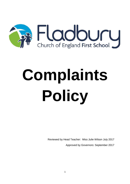

# **Complaints Policy**

Reviewed by Head Teacher: Miss Julie Wilson July 2017 Approved by Governors: September 2017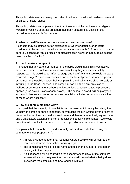This policy statement and every step taken to adhere to it will seek to demonstrate at all times, Christian values.

This policy relates to complaints other than those about the curriculum or religious worship for which a separate procedure has been established. Details of this procedure are available from school.

# **1. What is the difference between a concern and a complaint?**

A concern may be defined as "an expression of worry or doubt over an issue considered to be important for which reassurances are sought." A complaint may be generally defined as "an expression of dissatisfaction however made, about actions taken or a lack of action".

# **2. How to make a complaint**

It is hoped that any parent or member of the public would make initial contact with the class teacher, if such a complaint was something they could immediately respond to. This would be an informal stage and hopefully the issue would be easily resolved. Stage 2 which now becomes part of the formal process is when a parent or member of the public makes their complaint in the first instance either verbally or in writing to the Head Teacher. The complaint can be about any provision of facilities or services that our school provides, unless separate statutory procedure applies (such as exclusions or admissions). The school, if asked, will help anyone who would like assistance to set out their complaint including access to translation services where necessary.

## **3. How are complaints dealt with?**

It is hoped that the majority of complaints can be resolved informally by raising them verbally, in person or on the telephone, or by putting them in writing, given or sent to the school, when they can be discussed there and then or at a mutually agreed time and a satisfactory explanation given or resolution speedily implemented. We would hope that all complaints are made as soon as possible after an incident arises.

Complaints that cannot be resolved informally will be dealt as follows, using the summary of steps (Appendix A):

- An acknowledgement (or final response where possible) will be sent to the complainant within three school working days.
- The complainant will be told the name and telephone number of the person dealing with the complaint.
- A full response will be sent within ten school working days, or if a complete answer still cannot be given, the complainant will be told what is being done to investigate the complaint and how long this will take.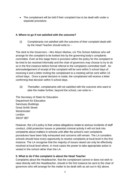• The complainant will be told if their complaint has to be dealt with under a separate procedure.

# **4. Where to go if not satisfied with the outcome?**

(i) Complainants not satisfied with the outcome of their complaint dealt with by the Head Teacher should write to: -

The clerk to the Governors – Mrs Alison Marlow, c/o The School Address who will arrange for the complaint to be looked into by the governing body's complaints committee. Even at this stage there is provision within the policy for the complaint to be tried to be resolved informally and the chair of governors may choose to try to do so in the first instance before formal referral to the complaints committee itself. An acknowledgement of receipt of the complaint will be sent within 5 school days of receiving it and a letter inviting the complainant to a meeting will be sent within 15 school days. Once a panel decision is made, the complainant will receive a letter confirming that decision within 5 school days.

(ii) Thereafter, complainants still not satisfied with the outcome who want to take the matter further, beyond the school, can write to –

The Secretary of State for Education Department for Education Sanctuary Buildings Great Smith Street **Westminster** London SW1P 3BT

However, the LA's policy is that unless allegations relate to serious incidents of staff conduct, child protection issues or potential criminal activity it will not look into complaints about matters in schools until after the school's own complaints procedures have been fully exhausted and concerns still remain. The LA considers schools should have every opportunity to resolve complaints at local level in the first instance. The LA recognise that the majority of issues raised can only be effectively resolved at local level where, in most cases the power to take appropriate action is vested in the school rather than the LA.

# **5. What to do if the complaint is about the Head Teacher**

Complaints about the Headteacher, that the complainant cannot or does not wish to raise directly with the Headteacher, should in the first instance be sent to the chair of governors who will arrange for the matter to be dealt with as set out in 4(i) above.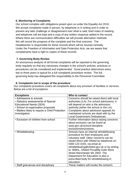## **6. Monitoring of Complaints**

Our school complies with obligations posed upon us under the Equality Act 2010. We accept complaints made in person, by telephone or in writing and in order to prevent any later challenge or disagreement over what is said, brief notes of meeting and telephone call are kept and a copy of any written response added to the record. Where there are communication difficulties we will provide alternative methods. We will record the progress of the complete and the final outcome. The Headteacher is responsible for these records which will be housed centrally. Under the Freedom of Information and Data Protection Acts, we are aware that complainants have a right to copies of these records.

# **7. Governing Body Review**

An anonymous analysis of all formal complaints will be reported to the governing body regularly so that any necessary changes in the school's policies, practices or procedures can be considered and implemented. Good practice determines every two to three years is typical for a full complaints procedure review. The full governing body has delegated this responsibility to the Personnel Committee

# **8. Complaints not in scope of the procedure**

Our complaints procedure covers all complaints about any provision of facilities or services. Below are a list of exceptions:

| <b>Exceptions</b>                              | Who to contact                              |
|------------------------------------------------|---------------------------------------------|
| • Admissions to schools                        | Concerns should be raised direct with local |
| • Statutory assessments of Special             | authorities (LA). For school admissions, it |
| <b>Educational Needs (SEN)</b>                 | will depend on who is the admission         |
| · School re-organisation proposals             | authority (either the school or the LA).    |
| • Matters likely to require a Child Protection | Complaints about admission appeals for      |
| Investigation                                  | maintained schools are dealt with by the    |
|                                                | Local Government Ombudsman.                 |
| • Exclusion of children from school            | Further information about raising concerns  |
|                                                | about exclusion can be found at:            |
|                                                | www.gov.uk/school-discipline-               |
|                                                | exclusions/exclusions.                      |
| • Whistleblowing                               | Schools have an internal whistleblowing     |
|                                                | procedure for their employees and           |
|                                                | voluntary staff. Other concerns can be      |
|                                                | raised direct with Ofsted by telephone on:  |
|                                                | 0300 123 3155, via email at:                |
|                                                | whistleblowing@ofsted.gov.uk or by writing  |
|                                                | to: WBHL, Ofsted Piccadilly Gate Store      |
|                                                | Street Manchester M1 2WD. The               |
|                                                | Department for Education is also a          |
|                                                | prescribed body for whistleblowing in       |
|                                                | education.                                  |
| • Staff grievances and disciplinary            | These matters will invoke the school's      |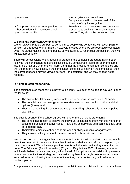| procedures                              | internal grievance procedures.<br>Complainants will not be informed of the<br>outcome of any investigation. |
|-----------------------------------------|-------------------------------------------------------------------------------------------------------------|
| • Complaints about services provided by | Providers should have their own complaints                                                                  |
| other providers who may use school      | procedure to deal with complaints about                                                                     |
| premises or facilities.                 | service. They should be contacted direct.                                                                   |

#### **9. Serial and Persistent Complainants**

We will always try to do our best to be helpful to people who contact us with a complaint or concern or a request for information. However, in cases where we are repeatedly contacted by an individual making the same points, or who asks us to reconsider our position, then we will act appropriately.

There will be occasions when, despite all stages of the complaint procedure having been followed, the complainant remains dissatisfied. If a complainant tries to re-open the same issue, the Chair of Governors will inform them that the procedure has been completed and that the matter is now closed. If the complainant contacts us again on the same issue, then the correspondence may be viewed as 'serial' or 'persistent' and we may choose not to respond.

#### **Is it time to stop responding?**

The decision to stop responding is never taken lightly. We must to be able to say yes to all of the following:

- The school has taken every reasonable step to address the complainant's needs;
- The complainant has been given a clear statement of the school's position and their options (if any); and
- They are contacting the school repeatedly but making substantially the same points each time.

The case is stronger if the school agrees with one or more of these statements:

- The school has reason to believe the individual is contacting them with the intention of causing disruption or inconvenience - have they actually said as much in a letter, email or telephone call?
- Their letters/emails/telephone calls are often or always abusive or aggressive.
- They make insulting personal comments about or threats towards staff.

We will not stop responding just because an individual is difficult to deal with or asks complex questions. In most circumstances the subject matter is what we can refuse to respond to, not the correspondent. We will always provide parents with the information they are entitled to under The Education (Pupil Information) (England) Regulations 2005. However, where an individual's behaviour is causing a significant level of disruption we may wish to implement a tailored communications strategy such as restricting them to a single point of contact via an email address or by limiting the number of times they make contact; e.g. a fixed number of contacts per term.

Complainants have a right to have any new complaint heard and failure to respond at all to a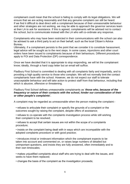complainant could mean that the school is failing to comply with its legal obligations. We will ensure that we are acting reasonably and that any genuine complaint can still be heard. If we find it difficult to deal direct with a complainant because of their unreasonable behaviour and other strategies are not working, we may be able to approach the governor services team at their LA to ask for assistance. If this is agreed, complainants will be advised not to contact the school, but to communicate instead with the LA who will co-ordinate any response.

Complainants who may have been restricted in their communications with the school can also be advised to ask a third party to act on their behalf, such as the local Citizen's Advice Bureau.

Ultimately, if a complainant persists to the point that we consider it to constitute harassment, legal advice will be sought as to the next steps. In some cases, injunctions and other court orders have been issued to complainants because of their behaviours. Different procedures apply to FOI and Data Protection (DP) correspondence.

Once we have decided that it is appropriate to stop responding, we will let the complainant know; ideally, through a hard copy letter but an email will suffice.

Fladbury First School is committed to dealing with all complaints fairly and impartially, and to providing a high quality service to those who complain. We will not normally limit the contact complainants have with the school. However, we do not expect our staff to tolerate unacceptable behaviour and will take action to protect staff from that behaviour, including that which is abusive, offensive or threatening.

#### Fladbury First School defines unreasonable complainants as '*those who, because of the frequency or nature of their contacts with the school, hinder our consideration of their or other people's complaints***'.**

A complaint may be regarded as unreasonable when the person making the complaint:-

- refuses to articulate their complaint or specify the grounds of a complaint or the outcomes sought by raising the complaint, despite offers of assistance;
- refuses to co-operate with the complaints investigation process while still wishing their complaint to be resolved;
- refuses to accept that certain issues are not within the scope of a complaints procedure;

• insists on the complaint being dealt with in ways which are incompatible with the adopted complaints procedure or with good practice;

• introduces trivial or irrelevant information which the complainant expects to be taken into account and commented on, or raises large numbers of detailed but unimportant questions, and insists they are fully answered, often immediately and to their own timescales;

• makes unjustified complaints about staff who are trying to deal with the issues, and seeks to have them replaced;

• changes the basis of the complaint as the investigation proceeds;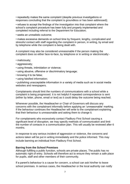• repeatedly makes the same complaint (despite previous investigations or responses concluding that the complaint is groundless or has been addressed);

• refuses to accept the findings of the investigation into that complaint where the school's complaint procedure has been fully and properly implemented and completed including referral to the Department for Education;

• seeks an unrealistic outcome;

• makes excessive demands on school time by frequent, lengthy, complicated and stressful contact with staff regarding the complaint in person, in writing, by email and by telephone while the complaint is being dealt with.

A complaint may also be considered unreasonable if the person making the complaint does so either face-to-face, by telephone or in writing or electronically:-

- maliciously;
- aggressively;
- using threats, intimidation or violence;
- using abusive, offensive or discriminatory language;
- knowing it to be false;
- using falsified information;

• publishing unacceptable information in a variety of media such as in social media websites and newspapers.

Complainants should limit the numbers of communications with a school while a complaint is being progressed. It is not helpful if repeated correspondence is sent (either by letter, phone, email or text) as it could delay the outcome being reached.

Whenever possible, the Headteacher or Chair of Governors will discuss any concerns with the complainant informally before applying an 'unreasonable' marking. If the behaviour continues the Headteacher will write to the complainant explaining that their behaviour is unreasonable and asking them to change it.

For complainants who excessively contact Fladbury First School causing a significant level of disruption, we may specify methods of communication and limit the number of contacts in a communication plan. This will usually be reviewed after 6 months.

In response to any serious incident of aggression or violence, the concerns and actions taken will be put in writing immediately and the police informed. This may include banning an individual from Fladbury First School.

#### **Barring from the School Premises**

Although fulfilling a public function, schools are private places. The public has no automatic right of entry. Schools will therefore act to ensure they remain a safe place for pupils, staff and other members of their community.

If a parent's behaviour is a cause for concern, a school can ask him/her to leave school premises. In serious cases, the Headteacher or the local authority can notify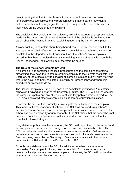them in writing that their implied licence to be on school premises has been temporarily revoked subject to any representations that the parent may wish to make. Schools should always give the parent the opportunity to formally express their views on the decision to bar in writing.

The decision to bar should then be reviewed, taking into account any representations made by the parent, and either confirmed or lifted. If the decision is confirmed the parent should be notified in writing, explaining how long the bar will be in place.

Anyone wishing to complain about being barred can do so, by letter or email, to the Headteacher or Chair of Governors. However, complaints about barring cannot be escalated to the Department for Education. Once the school's own complaints procedure has been completed, the only remaining avenue of appeal is through the Courts; independent legal advice must therefore be sought.

#### **The Role of the School Complaints Unit**

If a complaint has completed the local procedures and the complainant remains dissatisfied, they have the right to refer their complaint to the Secretary of State. The Secretary of State has a duty to consider all complaints raised but will only intervene where the governing body has acted unlawfully or unreasonably and where it is expedient or practical to do so.

The School Complaints Unit (SCU) considers complaints relating to LA maintained schools in England on behalf of the Secretary of State. The SCU will look at whether the complaints policy and any other relevant statutory policies were adhered to. The SCU also looks at whether statutory policies adhere to education legislation.

However, the SCU will not normally re-investigate the substance of the complaint. This remains the responsibility of schools. The SCU will not overturn a school's decision about a complaint except in exceptional circumstances where it is clear the school has acted unlawfully or unreasonably. If the SCU finds that the school has not handled a complaint in accordance with its procedure, we may request that the complaint is looked at again.

If legislative or policy breaches are found, the SCU will report them to the school and the complainant, and where necessary, ask for corrective action to be taken. The SCU normally also seeks written assurances as to future conduct. Failure to carry out remedial actions or provide written assurances could ultimately result in a formal Direction being issued by the Secretary of State in accordance with her powers under sections 496 and497 of the Education Act 1996.

Schools may wish to contact the SCU for advice on whether they have acted reasonably; for example: in closing down a complaint from a serial complainant before the local procedure has been completed. However, the SCU will not be able to advise on how to resolve the complaint.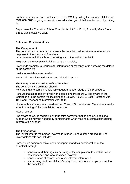Further information can be obtained from the SCU by calling the National Helpline on **0370 000 2288** or going online at: www.education.gov.uk/help/contactus or by writing to:

Department for Education School Complaints Unit 2nd Floor, Piccadilly Gate Store Street Manchester M1 2WD

# **Roles and Responsibilities**

## **The Complainant**

The complainant or person who makes the complaint will receive a more effective response to the complaint if he/she:-

- co-operates with the school in seeking a solution to the complaint;
- expresses the complaint in full as early as possible;

• responds promptly to requests for information or meetings or in agreeing the details of the complaint;

- asks for assistance as needed;
- treats all those involved in the complaint with respect.

## **The Complaints Co-ordinator/Headteacher**

The complaints co-ordinator should:-

• ensure that the complainant is fully updated at each stage of the procedure;

• ensure that all people involved in the complaint procedure will be aware of the legislation around complaints including the Equality Act 2010, Data Protection Act 1998 and Freedom of Information Act 2000;

• liaise with staff members, Headteacher, Chair of Governors and Clerk to ensure the smooth running of the complaints procedure;

• keep records;

• be aware of issues regarding sharing third party information and any additional support which may be needed by complainants when making a complaint including interpretation support.

## **The Investigator**

The Investigator is the person involved in Stages 2 and 3 of the procedure. The Investigator's role can include:-

• providing a comprehensive, open, transparent and fair consideration of the complaint through:-

- sensitive and thorough interviewing of the complainant to establish what has happened and who has been involved;
- consideration of records and other relevant information
- **EXECT** interviewing staff and children/young people and other people relevant to the complaint;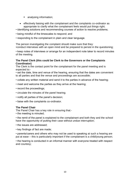- **analysing information;**
- effectively liaising with the complainant and the complaints co-ordinator as appropriate to clarify what the complainant feels would put things right;
- identifying solutions and recommending courses of action to resolve problems;
- being mindful of the timescales to respond; and
- responding to the complainant in plain and clear language.

The person investigating the complaint should make sure that they: •conduct interviews with an open mind and be prepared to persist in the questioning;

• keep notes of interviews or arrange for an independent note taker to record minutes of the meeting.

#### **The Panel Clerk (this could be Clerk to the Governors or the Complaints Coordinator)**

The Clerk is the contact point for the complainant for the panel meeting and is expected to:-

• set the date, time and venue of the hearing, ensuring that the dates are convenient to all parties and that the venue and proceedings are accessible;

- collate any written material and send it to the parties in advance of the hearing;
- meet and welcome the parties as they arrive at the hearing;
- record the proceedings;
- circulate the minutes of the panel hearing;
- notify all parties of the panel's decision;
- liaise with the complaints co-ordinator.

#### **The Panel Chair**

The Panel Chair has a key role in ensuring that:-

• the meeting is minuted;

• the remit of the panel is explained to the complainant and both they and the school have the opportunity of putting their case without undue interruption;

- the issues are addressed;
- key findings of fact are made;

• parents/carers and others who may not be used to speaking at such a hearing are put at ease – this is particularly important if the complainant is a child/young person;

• the hearing is conducted in an informal manner with everyone treated with respect and courtesy;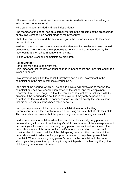• the layout of the room will set the tone – care is needed to ensure the setting is informal and not adversarial;

• the panel is open-minded and acts independently;

• no member of the panel has an external interest in the outcome of the proceedings or any involvement in an earlier stage of the procedure;

• both the complainant and the school are given the opportunity to state their case and seek clarity;

• written material is seen by everyone in attendance – if a new issue arises it would be useful to give everyone the opportunity to consider and comment upon it; this may require a short adjournment of the hearing;

• liaise with the Clerk and complaints co-ordinator.

#### **Panel Member**

Panellists will need to be aware that:-

• it is important that the review panel hearing is independent and impartial, and that it is seen to be so;

• No governor may sit on the panel if they have had a prior involvement in the complaint or in the circumstances surrounding it.

• the aim of the hearing, which will be held in private, will always be to resolve the complaint and achieve reconciliation between the school and the complainant; However, it must be recognised that the complainant might not be satisfied with the outcome if the hearing does not find in their favour. It may only be possible to establish the facts and make recommendations which will satisfy the complainant that his or her complaint has been taken seriously.

• many complainants will feel nervous and inhibited in a formal setting; Parents/carers often feel emotional when discussing an issue that affects their child. The panel chair will ensure that the proceedings are as welcoming as possible.

• extra care needs to be taken when the complainant is a child/young person and present during all or part of the hearing; Careful consideration of the atmosphere and proceedings will ensure that the child/young person does not feel intimidated. The panel should respect the views of the child/young person and give them equal consideration to those of adults. If the child/young person is the complainant, the panel should ask in advance if any support is needed to help them present their complaint. Where the child/young person's parent is the complainant, the panel should give the parent the opportunity to say which parts of the hearing, if any, the child/young person needs to attend.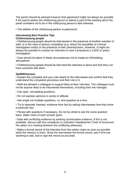The parent should be advised however that agreement might not always be possible if the parent wishes the child/young person to attend a part of the meeting which the panel considers not to be in the child/young person's best interests.

• The welfare of the child/young person is paramount.

#### **Interviewing Best Practice Tips Children/young people**

• Children/young people should be interviewed in the presence of another member of staff, or in the case of serious complaints (e.g. where the possibility of criminal investigation exists) in the presence of their parents/carers. However, it might not always be possible to conduct an interview in case it prejudices a LADO or police investigation.

• Care should be taken in these circumstances not to create an intimidating atmosphere.

• Children/young people should be told what the interview is about and that they can have someone with them.

#### **Staff/Witnesses**

• Explain the complaint and your role clearly to the interviewee and confirm that they understand the complaints procedure and their role in it.

• Staff are allowed a colleague to support them at their interview. The colleague must not be anyone likely to be interviewed themselves, including their line manager.

• Use open, not leading questions.

- Do not express opinions in words or attitude.
- Ask single not multiple questions, i.e. one question at a time.

• Try to separate 'hearsay' evidence from fact by asking interviewees how they know a particular fact.

• Persist with questions if necessary. Do not be afraid to ask the same question twice. Make notes of each answer given.

• Deal with conflicting evidence by seeking corroborative evidence. If this is not available, discuss with the complaints co-ordinator/ Headteacher/ Chair of Governors the option of a meeting between the conflicting witnesses.

• Make a formal record of the interview from the written notes as soon as possible while the memory is fresh. Show the interviewee the formal record, ask if s/he has anything to add, and to sign the record as accurate.